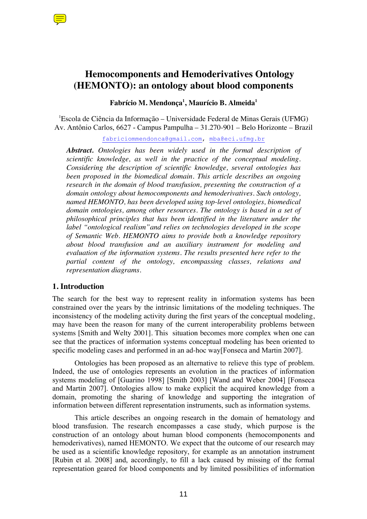

# **Hemocomponents and Hemoderivatives Ontology (HEMONTO): an ontology about blood components**

# **Fabrício M. Mendonça1 , Maurício B. Almeida1**

1 Escola de Ciência da Informação – Universidade Federal de Minas Gerais (UFMG) Av. Antônio Carlos, 6627 - Campus Pampulha – 31.270-901 – Belo Horizonte – Brazil

fabriciommendonca@gmail.com, mba@eci.ufmg.br

*Abstract. Ontologies has been widely used in the formal description of scientific knowledge, as well in the practice of the conceptual modeling. Considering the description of scientific knowledge, several ontologies has been proposed in the biomedical domain. This article describes an ongoing research in the domain of blood transfusion, presenting the construction of a domain ontology about hemocomponents and hemoderivatives. Such ontology, named HEMONTO, has been developed using top-level ontologies, biomedical domain ontologies, among other resources. The ontology is based in a set of philosophical principles that has been identified in the literature under the label "ontological realism"and relies on technologies developed in the scope of Semantic Web. HEMONTO aims to provide both a knowledge repository about blood transfusion and an auxiliary instrument for modeling and evaluation of the information systems. The results presented here refer to the partial content of the ontology, encompassing classes, relations and representation diagrams.* 

# **1. Introduction**

The search for the best way to represent reality in information systems has been constrained over the years by the intrinsic limitations of the modeling techniques. The inconsistency of the modeling activity during the first years of the conceptual modeling, may have been the reason for many of the current interoperability problems between systems [Smith and Welty 2001]. This situation becomes more complex when one can see that the practices of information systems conceptual modeling has been oriented to specific modeling cases and performed in an ad-hoc way[Fonseca and Martin 2007].

Ontologies has been proposed as an alternative to relieve this type of problem. Indeed, the use of ontologies represents an evolution in the practices of information systems modeling of [Guarino 1998] [Smith 2003] [Wand and Weber 2004] [Fonseca and Martin 2007]. Ontologies allow to make explicit the acquired knowledge from a domain, promoting the sharing of knowledge and supporting the integration of information between different representation instruments, such as information systems.

This article describes an ongoing research in the domain of hematology and blood transfusion. The research encompasses a case study, which purpose is the construction of an ontology about human blood components (hemocomponents and hemoderivatives), named HEMONTO. We expect that the outcome of our research may be used as a scientific knowledge repository, for example as an annotation instrument [Rubin et al. 2008] and, accordingly, to fill a lack caused by missing of the formal representation geared for blood components and by limited possibilities of information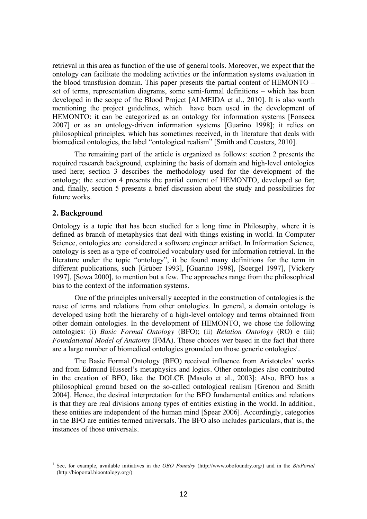retrieval in this area as function of the use of general tools. Moreover, we expect that the ontology can facilitate the modeling activities or the information systems evaluation in the blood transfusion domain. This paper presents the partial content of HEMONTO – set of terms, representation diagrams, some semi-formal definitions – which has been developed in the scope of the Blood Project [ALMEIDA et al., 2010]. It is also worth mentioning the project guidelines, which have been used in the development of HEMONTO: it can be categorized as an ontology for information systems [Fonseca 2007] or as an ontology-driven information systems [Guarino 1998]; it relies on philosophical principles, which has sometimes received, in th literature that deals with biomedical ontologies, the label "ontological realism" [Smith and Ceusters, 2010].

The remaining part of the article is organized as follows: section 2 presents the required research background, explaining the basis of domain and high-level ontologies used here; section 3 describes the methodology used for the development of the ontology; the section 4 presents the partial content of HEMONTO, developed so far; and, finally, section 5 presents a brief discussion about the study and possibilities for future works.

#### **2. Background**

Ontology is a topic that has been studied for a long time in Philosophy, where it is defined as branch of metaphysics that deal with things existing in world. In Computer Science, ontologies are considered a software engineer artifact. In Information Science, ontology is seen as a type of controlled vocabulary used for information retrieval. In the literature under the topic "ontology", it be found many definitions for the term in different publications, such [Grüber 1993], [Guarino 1998], [Soergel 1997], [Vickery 1997], [Sowa 2000], to mention but a few. The approaches range from the philosophical bias to the context of the information systems.

One of the principles universally accepted in the construction of ontologies is the reuse of terms and relations from other ontologies. In general, a domain ontology is developed using both the hierarchy of a high-level ontology and terms obtainned from other domain ontologies. In the development of HEMONTO, we chose the following ontologies: (i) *Basic Formal Ontology* (BFO); (ii) *Relation Ontology* (RO) e (iii) *Foundational Model of Anatomy* (FMA). These choices wer based in the fact that there are a large number of biomedical ontologies grounded on those generic ontologies<sup>1</sup>.

The Basic Formal Ontology (BFO) received influence from Aristoteles' works and from Edmund Husserl's metaphysics and logics. Other ontologies also contributed in the creation of BFO, like the DOLCE [Masolo et al., 2003]; Also, BFO has a philosophical ground based on the so-called ontological realism [Grenon and Smith 2004]. Hence, the desired interpretation for the BFO fundamental entities and relations is that they are real divisions among types of entities existing in the world. In addition, these entities are independent of the human mind [Spear 2006]. Accordingly, categories in the BFO are entities termed universals. The BFO also includes particulars, that is, the instances of those universals.

<sup>1</sup> See, for example, available initiatives in the *OBO Foundry* (http://www.obofoundry.org/) and in the *BioPortal* (http://bioportal.bioontology.org/)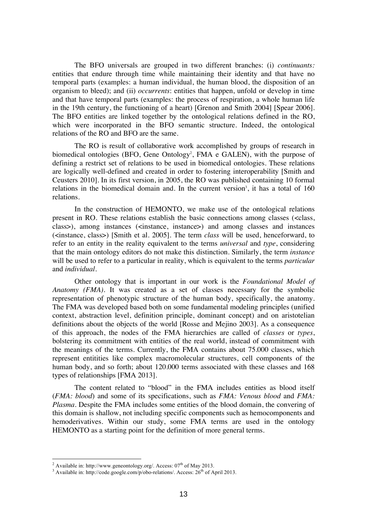The BFO universals are grouped in two different branches: (i) *continuants:* entities that endure through time while maintaining their identity and that have no temporal parts (examples: a human individual, the human blood, the disposition of an organism to bleed); and (ii) *occurrents*: entities that happen, unfold or develop in time and that have temporal parts (examples: the process of respiration, a whole human life in the 19th century, the functioning of a heart) [Grenon and Smith 2004] [Spear 2006]. The BFO entities are linked together by the ontological relations defined in the RO, which were incorporated in the BFO semantic structure. Indeed, the ontological relations of the RO and BFO are the same.

The RO is result of collaborative work accomplished by groups of research in biomedical ontologies (BFO, Gene Ontology<sup>2</sup>, FMA e GALEN), with the purpose of defining a restrict set of relations to be used in biomedical ontologies. These relations are logically well-defined and created in order to fostering interoperability [Smith and Ceusters 2010]. In its first version, in 2005, the RO was published containing 10 formal relations in the biomedical domain and. In the current version<sup>3</sup>, it has a total of  $160$ relations.

In the construction of HEMONTO, we make use of the ontological relations present in RO. These relations establish the basic connections among classes (<class, class>), among instances (<instance, instance>) and among classes and instances (<instance, class>) [Smith et al. 2005]. The term *class* will be used, henceforward, to refer to an entity in the reality equivalent to the terms *universal* and *type*, considering that the main ontology editors do not make this distinction. Similarly, the term *instance* will be used to refer to a particular in reality, which is equivalent to the terms *particular* and *individual*.

Other ontology that is important in our work is the *Foundational Model of Anatomy (FMA)*. It was created as a set of classes necessary for the symbolic representation of phenotypic structure of the human body, specifically, the anatomy. The FMA was developed based both on some fundamental modeling principles (unified context, abstraction level, definition principle, dominant concept) and on aristotelian definitions about the objects of the world [Rosse and Mejino 2003]. As a consequence of this approach, the nodes of the FMA hierarchies are called of *classes* or *types*, bolstering its commitment with entities of the real world, instead of commitment with the meanings of the terms. Currently, the FMA contains about 75.000 classes, which represent entitities like complex macromolecular structures, cell components of the human body, and so forth; about 120,000 terms associated with these classes and 168 types of relationships [FMA 2013].

The content related to "blood" in the FMA includes entities as blood itself (*FMA: blood*) and some of its specifications, such as *FMA: Venous blood* and *FMA: Plasma*. Despite the FMA includes some entities of the blood domain, the convering of this domain is shallow, not including specific components such as hemocomponents and hemoderivatives. Within our study, some FMA terms are used in the ontology HEMONTO as a starting point for the definition of more general terms.

 $\frac{1}{2}$ <sup>2</sup> Available in: http://www.geneontology.org/. Access:  $07<sup>th</sup>$  of May 2013.

 $A$  Available in: http://code.google.com/p/obo-relations/. Access: 26<sup>th</sup> of April 2013.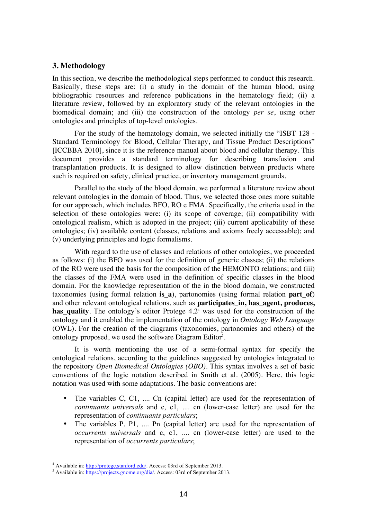### **3. Methodology**

In this section, we describe the methodological steps performed to conduct this research. Basically, these steps are: (i) a study in the domain of the human blood, using bibliographic resources and reference publications in the hematology field; (ii) a literature review, followed by an exploratory study of the relevant ontologies in the biomedical domain; and (iii) the construction of the ontology *per se*, using other ontologies and principles of top-level ontologies.

For the study of the hematology domain, we selected initially the "ISBT 128 - Standard Terminology for Blood, Cellular Therapy, and Tissue Product Descriptions" [ICCBBA 2010], since it is the reference manual about blood and cellular therapy. This document provides a standard terminology for describing transfusion and transplantation products. It is designed to allow distinction between products where such is required on safety, clinical practice, or inventory management grounds.

Parallel to the study of the blood domain, we performed a literature review about relevant ontologies in the domain of blood. Thus, we selected those ones more suitable for our approach, which includes BFO, RO e FMA. Specifically, the criteria used in the selection of these ontologies were: (i) its scope of coverage; (ii) compatibility with ontological realism, which is adopted in the project; (iii) current applicability of these ontologies; (iv) available content (classes, relations and axioms freely accessable); and (v) underlying principles and logic formalisms.

With regard to the use of classes and relations of other ontologies, we proceeded as follows: (i) the BFO was used for the definition of generic classes; (ii) the relations of the RO were used the basis for the composition of the HEMONTO relations; and (iii) the classes of the FMA were used in the definition of specific classes in the blood domain. For the knowledge representation of the in the blood domain, we constructed taxonomies (using formal relation **is\_a**), partonomies (using formal relation **part\_of**) and other relevant ontological relations, such as **participates in, has agent, produces, has\_quality***.* The ontology's editor Protege 4.2<sup>4</sup> was used for the construction of the ontology and it enabled the implementation of the ontology in *Ontology Web Language* (OWL). For the creation of the diagrams (taxonomies, partonomies and others) of the ontology proposed, we used the software Diagram Editor<sup>5</sup>.

It is worth mentioning the use of a semi-formal syntax for specify the ontological relations, according to the guidelines suggested by ontologies integrated to the repository *Open Biomedical Ontologies (OBO)*. This syntax involves a set of basic conventions of the logic notation described in Smith et al. (2005). Here, this logic notation was used with some adaptations. The basic conventions are:

- The variables C, C1, .... Cn (capital letter) are used for the representation of *continuants universals* and c, c1, .... cn (lower-case letter) are used for the representation of *continuants particulars*;
- The variables P, P1, .... Pn (capital letter) are used for the representation of *occurrents universals* and c, c1, .... cn (lower-case letter) are used to the representation of *occurrents particulars*;

 $\frac{1}{4}$ <sup>4</sup> Available in: http://protege.stanford.edu/. Access: 03rd of September 2013.

Available in: https://projects.gnome.org/dia/. Access: 03rd of September 2013.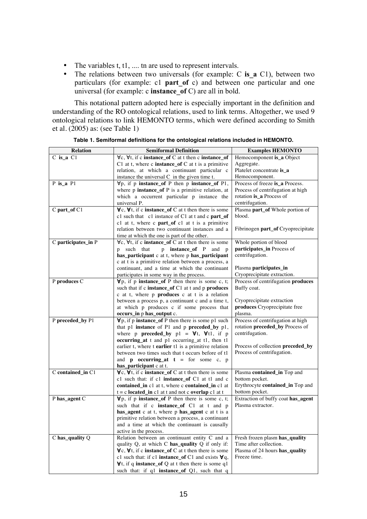- The variables t, t1, .... tn are used to represent intervals.
- The relations between two universals (for example: C is a C1), between two particulars (for example: c1 **part of** c) and between one particular and one universal (for example: c **instance\_of** C) are all in bold.

This notational pattern adopted here is especially important in the definition and understanding of the RO ontological relations, used to link terms. Altogether, we used 9 ontological relations to link HEMONTO terms, which were defined according to Smith et al. (2005) as: (see Table 1)

| Hemocomponent is_a Object<br>C1 at t, where c <b>instance_of</b> C at t is a primitive<br>Aggregate.<br>relation, at which a continuant particular c<br>Platelet concentrate is_a<br>Hemocomponent.<br>instance the universal C in the given time t.<br>Process of freeze is_a Process.<br>P is a P1<br>$\forall p$ , if p instance_of P then p instance_of P1,<br>Process of centrifugation at high<br>where p instance_of P is a primitive relation, at<br>rotation is_a Process of<br>which a occurrent particular p instance the<br>centrifugation.<br>universal P.<br>$\forall$ c, $\forall$ t, if c instance_of C at t then there is some<br>C part_of C1<br>Plasma part_of Whole portion of<br>c1 such that c1 instance of C1 at t and c part_of<br>blood.<br>c1 at t, where c part_of c1 at t is a primitive<br>relation between two continuant instances and a<br>Fibrinogen part_of Cryoprecipitate<br>time at which the one is part of the other.<br>C participates_in P<br>$\forall$ c, $\forall$ t, if c <b>instance_of</b> C at t then there is some<br>Whole portion of blood<br>participates_in Process of<br>p such that<br>p instance_of P and p<br>centrifugation.<br>has_participant c at t, where p has_participant<br>c at t is a primitive relation between a process, a<br>continuant, and a time at which the continuant<br>Plasma participates_in<br>Cryoprecipitate extraction.<br>participates in some way in the process.<br>P produces C<br>$\forall p$ , if p instance_of P then there is some c, t;<br>Process of centrifugation produces<br>Buffy coat.<br>such that if c instance_of C1 at t and p produces<br>c at t, where p produces c at t is a relation<br>between a process p, a continuant c and a time t,<br>Cryoprecipitate extraction<br>produces Cryoprecipitate free<br>at which p produces c if some process that<br>plasma.<br>occurs_in p has_output c.<br>P preceded_by P1<br><b>V</b> p, if p <b>instance_of</b> P then there is some p1 such<br>Process of centrifugation at high<br>rotation preceded_by Process of<br>that p1 instance of P1 and p preceded_by p1,<br>centrifugation.<br>where p <b>preceded</b> by $p1 = \forall t$ , $\forall t1$ , if p<br>occurring_at t and p1 occurring_at t1, then t1<br>Process of collection preceded_by<br>earlier t, where t earlier t1 is a primitive relation<br>Process of centrifugation.<br>between two times such that t occurs before of t1<br>and <b>p</b> occurring at $t =$ for some c, p<br>has_participant c at t.<br>$\forall$ c, $\forall$ t, if c instance_of C at t then there is some<br>C contained_in C1<br>Plasma contained_in Top and<br>c1 such that: if c1 instance_of C1 at t1 and c<br>bottom pocket.<br>Erythrocyte contained_in Top and<br>contained in c1 at t, where c contained in c1 at<br>bottom pocket.<br>$t = c$ located_in c1 at t and not c overlap c1 at t<br>$\forall p$ , if p instance of P then there is some c, t;<br>Extraction of buffy coat has_agent<br>P has_agent C<br>such that if c instance_of C1 at t and p<br>Plasma extractor.<br>has_agent c at t, where p has_agent c at t is a<br>primitive relation between a process, a continuant<br>and a time at which the continuant is causally<br>active in the process.<br>Relation between an continuant entity C and a<br>C has_quality Q<br>Fresh frozen plasm has_quality<br>quality Q, at which C has_quality Q if only if:<br>Time after collection.<br>$\forall$ c, $\forall$ t, if c <b>instance</b> of C at t then there is some<br>Plasma of 24 hours has_quality<br>Freeze time.<br>c1 such that: if c1 <b>instance_of</b> C1 and exists $\forall q$ ,<br>$\forall$ t, if q instance_of Q at t then there is some q1 | <b>Relation</b> | <b>Semiformal Definition</b>                       | <b>Examples HEMONTO</b> |
|-------------------------------------------------------------------------------------------------------------------------------------------------------------------------------------------------------------------------------------------------------------------------------------------------------------------------------------------------------------------------------------------------------------------------------------------------------------------------------------------------------------------------------------------------------------------------------------------------------------------------------------------------------------------------------------------------------------------------------------------------------------------------------------------------------------------------------------------------------------------------------------------------------------------------------------------------------------------------------------------------------------------------------------------------------------------------------------------------------------------------------------------------------------------------------------------------------------------------------------------------------------------------------------------------------------------------------------------------------------------------------------------------------------------------------------------------------------------------------------------------------------------------------------------------------------------------------------------------------------------------------------------------------------------------------------------------------------------------------------------------------------------------------------------------------------------------------------------------------------------------------------------------------------------------------------------------------------------------------------------------------------------------------------------------------------------------------------------------------------------------------------------------------------------------------------------------------------------------------------------------------------------------------------------------------------------------------------------------------------------------------------------------------------------------------------------------------------------------------------------------------------------------------------------------------------------------------------------------------------------------------------------------------------------------------------------------------------------------------------------------------------------------------------------------------------------------------------------------------------------------------------------------------------------------------------------------------------------------------------------------------------------------------------------------------------------------------------------------------------------------------------------------------------------------------------------------------------------------------------------------------------------------------------------------------------------------------------------------------------------------------------------------------------------------------------------------------------------------------------------------------------------------------------------------------------------------------------------------------------------------------------------------------------------------------------------------------------------------------------|-----------------|----------------------------------------------------|-------------------------|
|                                                                                                                                                                                                                                                                                                                                                                                                                                                                                                                                                                                                                                                                                                                                                                                                                                                                                                                                                                                                                                                                                                                                                                                                                                                                                                                                                                                                                                                                                                                                                                                                                                                                                                                                                                                                                                                                                                                                                                                                                                                                                                                                                                                                                                                                                                                                                                                                                                                                                                                                                                                                                                                                                                                                                                                                                                                                                                                                                                                                                                                                                                                                                                                                                                                                                                                                                                                                                                                                                                                                                                                                                                                                                                                                     | $C$ is a $C1$   | ∀c, ∀t, if c instance_of C at t then c instance_of |                         |
|                                                                                                                                                                                                                                                                                                                                                                                                                                                                                                                                                                                                                                                                                                                                                                                                                                                                                                                                                                                                                                                                                                                                                                                                                                                                                                                                                                                                                                                                                                                                                                                                                                                                                                                                                                                                                                                                                                                                                                                                                                                                                                                                                                                                                                                                                                                                                                                                                                                                                                                                                                                                                                                                                                                                                                                                                                                                                                                                                                                                                                                                                                                                                                                                                                                                                                                                                                                                                                                                                                                                                                                                                                                                                                                                     |                 |                                                    |                         |
|                                                                                                                                                                                                                                                                                                                                                                                                                                                                                                                                                                                                                                                                                                                                                                                                                                                                                                                                                                                                                                                                                                                                                                                                                                                                                                                                                                                                                                                                                                                                                                                                                                                                                                                                                                                                                                                                                                                                                                                                                                                                                                                                                                                                                                                                                                                                                                                                                                                                                                                                                                                                                                                                                                                                                                                                                                                                                                                                                                                                                                                                                                                                                                                                                                                                                                                                                                                                                                                                                                                                                                                                                                                                                                                                     |                 |                                                    |                         |
|                                                                                                                                                                                                                                                                                                                                                                                                                                                                                                                                                                                                                                                                                                                                                                                                                                                                                                                                                                                                                                                                                                                                                                                                                                                                                                                                                                                                                                                                                                                                                                                                                                                                                                                                                                                                                                                                                                                                                                                                                                                                                                                                                                                                                                                                                                                                                                                                                                                                                                                                                                                                                                                                                                                                                                                                                                                                                                                                                                                                                                                                                                                                                                                                                                                                                                                                                                                                                                                                                                                                                                                                                                                                                                                                     |                 |                                                    |                         |
|                                                                                                                                                                                                                                                                                                                                                                                                                                                                                                                                                                                                                                                                                                                                                                                                                                                                                                                                                                                                                                                                                                                                                                                                                                                                                                                                                                                                                                                                                                                                                                                                                                                                                                                                                                                                                                                                                                                                                                                                                                                                                                                                                                                                                                                                                                                                                                                                                                                                                                                                                                                                                                                                                                                                                                                                                                                                                                                                                                                                                                                                                                                                                                                                                                                                                                                                                                                                                                                                                                                                                                                                                                                                                                                                     |                 |                                                    |                         |
|                                                                                                                                                                                                                                                                                                                                                                                                                                                                                                                                                                                                                                                                                                                                                                                                                                                                                                                                                                                                                                                                                                                                                                                                                                                                                                                                                                                                                                                                                                                                                                                                                                                                                                                                                                                                                                                                                                                                                                                                                                                                                                                                                                                                                                                                                                                                                                                                                                                                                                                                                                                                                                                                                                                                                                                                                                                                                                                                                                                                                                                                                                                                                                                                                                                                                                                                                                                                                                                                                                                                                                                                                                                                                                                                     |                 |                                                    |                         |
|                                                                                                                                                                                                                                                                                                                                                                                                                                                                                                                                                                                                                                                                                                                                                                                                                                                                                                                                                                                                                                                                                                                                                                                                                                                                                                                                                                                                                                                                                                                                                                                                                                                                                                                                                                                                                                                                                                                                                                                                                                                                                                                                                                                                                                                                                                                                                                                                                                                                                                                                                                                                                                                                                                                                                                                                                                                                                                                                                                                                                                                                                                                                                                                                                                                                                                                                                                                                                                                                                                                                                                                                                                                                                                                                     |                 |                                                    |                         |
|                                                                                                                                                                                                                                                                                                                                                                                                                                                                                                                                                                                                                                                                                                                                                                                                                                                                                                                                                                                                                                                                                                                                                                                                                                                                                                                                                                                                                                                                                                                                                                                                                                                                                                                                                                                                                                                                                                                                                                                                                                                                                                                                                                                                                                                                                                                                                                                                                                                                                                                                                                                                                                                                                                                                                                                                                                                                                                                                                                                                                                                                                                                                                                                                                                                                                                                                                                                                                                                                                                                                                                                                                                                                                                                                     |                 |                                                    |                         |
|                                                                                                                                                                                                                                                                                                                                                                                                                                                                                                                                                                                                                                                                                                                                                                                                                                                                                                                                                                                                                                                                                                                                                                                                                                                                                                                                                                                                                                                                                                                                                                                                                                                                                                                                                                                                                                                                                                                                                                                                                                                                                                                                                                                                                                                                                                                                                                                                                                                                                                                                                                                                                                                                                                                                                                                                                                                                                                                                                                                                                                                                                                                                                                                                                                                                                                                                                                                                                                                                                                                                                                                                                                                                                                                                     |                 |                                                    |                         |
|                                                                                                                                                                                                                                                                                                                                                                                                                                                                                                                                                                                                                                                                                                                                                                                                                                                                                                                                                                                                                                                                                                                                                                                                                                                                                                                                                                                                                                                                                                                                                                                                                                                                                                                                                                                                                                                                                                                                                                                                                                                                                                                                                                                                                                                                                                                                                                                                                                                                                                                                                                                                                                                                                                                                                                                                                                                                                                                                                                                                                                                                                                                                                                                                                                                                                                                                                                                                                                                                                                                                                                                                                                                                                                                                     |                 |                                                    |                         |
|                                                                                                                                                                                                                                                                                                                                                                                                                                                                                                                                                                                                                                                                                                                                                                                                                                                                                                                                                                                                                                                                                                                                                                                                                                                                                                                                                                                                                                                                                                                                                                                                                                                                                                                                                                                                                                                                                                                                                                                                                                                                                                                                                                                                                                                                                                                                                                                                                                                                                                                                                                                                                                                                                                                                                                                                                                                                                                                                                                                                                                                                                                                                                                                                                                                                                                                                                                                                                                                                                                                                                                                                                                                                                                                                     |                 |                                                    |                         |
|                                                                                                                                                                                                                                                                                                                                                                                                                                                                                                                                                                                                                                                                                                                                                                                                                                                                                                                                                                                                                                                                                                                                                                                                                                                                                                                                                                                                                                                                                                                                                                                                                                                                                                                                                                                                                                                                                                                                                                                                                                                                                                                                                                                                                                                                                                                                                                                                                                                                                                                                                                                                                                                                                                                                                                                                                                                                                                                                                                                                                                                                                                                                                                                                                                                                                                                                                                                                                                                                                                                                                                                                                                                                                                                                     |                 |                                                    |                         |
|                                                                                                                                                                                                                                                                                                                                                                                                                                                                                                                                                                                                                                                                                                                                                                                                                                                                                                                                                                                                                                                                                                                                                                                                                                                                                                                                                                                                                                                                                                                                                                                                                                                                                                                                                                                                                                                                                                                                                                                                                                                                                                                                                                                                                                                                                                                                                                                                                                                                                                                                                                                                                                                                                                                                                                                                                                                                                                                                                                                                                                                                                                                                                                                                                                                                                                                                                                                                                                                                                                                                                                                                                                                                                                                                     |                 |                                                    |                         |
|                                                                                                                                                                                                                                                                                                                                                                                                                                                                                                                                                                                                                                                                                                                                                                                                                                                                                                                                                                                                                                                                                                                                                                                                                                                                                                                                                                                                                                                                                                                                                                                                                                                                                                                                                                                                                                                                                                                                                                                                                                                                                                                                                                                                                                                                                                                                                                                                                                                                                                                                                                                                                                                                                                                                                                                                                                                                                                                                                                                                                                                                                                                                                                                                                                                                                                                                                                                                                                                                                                                                                                                                                                                                                                                                     |                 |                                                    |                         |
|                                                                                                                                                                                                                                                                                                                                                                                                                                                                                                                                                                                                                                                                                                                                                                                                                                                                                                                                                                                                                                                                                                                                                                                                                                                                                                                                                                                                                                                                                                                                                                                                                                                                                                                                                                                                                                                                                                                                                                                                                                                                                                                                                                                                                                                                                                                                                                                                                                                                                                                                                                                                                                                                                                                                                                                                                                                                                                                                                                                                                                                                                                                                                                                                                                                                                                                                                                                                                                                                                                                                                                                                                                                                                                                                     |                 |                                                    |                         |
|                                                                                                                                                                                                                                                                                                                                                                                                                                                                                                                                                                                                                                                                                                                                                                                                                                                                                                                                                                                                                                                                                                                                                                                                                                                                                                                                                                                                                                                                                                                                                                                                                                                                                                                                                                                                                                                                                                                                                                                                                                                                                                                                                                                                                                                                                                                                                                                                                                                                                                                                                                                                                                                                                                                                                                                                                                                                                                                                                                                                                                                                                                                                                                                                                                                                                                                                                                                                                                                                                                                                                                                                                                                                                                                                     |                 |                                                    |                         |
|                                                                                                                                                                                                                                                                                                                                                                                                                                                                                                                                                                                                                                                                                                                                                                                                                                                                                                                                                                                                                                                                                                                                                                                                                                                                                                                                                                                                                                                                                                                                                                                                                                                                                                                                                                                                                                                                                                                                                                                                                                                                                                                                                                                                                                                                                                                                                                                                                                                                                                                                                                                                                                                                                                                                                                                                                                                                                                                                                                                                                                                                                                                                                                                                                                                                                                                                                                                                                                                                                                                                                                                                                                                                                                                                     |                 |                                                    |                         |
|                                                                                                                                                                                                                                                                                                                                                                                                                                                                                                                                                                                                                                                                                                                                                                                                                                                                                                                                                                                                                                                                                                                                                                                                                                                                                                                                                                                                                                                                                                                                                                                                                                                                                                                                                                                                                                                                                                                                                                                                                                                                                                                                                                                                                                                                                                                                                                                                                                                                                                                                                                                                                                                                                                                                                                                                                                                                                                                                                                                                                                                                                                                                                                                                                                                                                                                                                                                                                                                                                                                                                                                                                                                                                                                                     |                 |                                                    |                         |
|                                                                                                                                                                                                                                                                                                                                                                                                                                                                                                                                                                                                                                                                                                                                                                                                                                                                                                                                                                                                                                                                                                                                                                                                                                                                                                                                                                                                                                                                                                                                                                                                                                                                                                                                                                                                                                                                                                                                                                                                                                                                                                                                                                                                                                                                                                                                                                                                                                                                                                                                                                                                                                                                                                                                                                                                                                                                                                                                                                                                                                                                                                                                                                                                                                                                                                                                                                                                                                                                                                                                                                                                                                                                                                                                     |                 |                                                    |                         |
|                                                                                                                                                                                                                                                                                                                                                                                                                                                                                                                                                                                                                                                                                                                                                                                                                                                                                                                                                                                                                                                                                                                                                                                                                                                                                                                                                                                                                                                                                                                                                                                                                                                                                                                                                                                                                                                                                                                                                                                                                                                                                                                                                                                                                                                                                                                                                                                                                                                                                                                                                                                                                                                                                                                                                                                                                                                                                                                                                                                                                                                                                                                                                                                                                                                                                                                                                                                                                                                                                                                                                                                                                                                                                                                                     |                 |                                                    |                         |
|                                                                                                                                                                                                                                                                                                                                                                                                                                                                                                                                                                                                                                                                                                                                                                                                                                                                                                                                                                                                                                                                                                                                                                                                                                                                                                                                                                                                                                                                                                                                                                                                                                                                                                                                                                                                                                                                                                                                                                                                                                                                                                                                                                                                                                                                                                                                                                                                                                                                                                                                                                                                                                                                                                                                                                                                                                                                                                                                                                                                                                                                                                                                                                                                                                                                                                                                                                                                                                                                                                                                                                                                                                                                                                                                     |                 |                                                    |                         |
|                                                                                                                                                                                                                                                                                                                                                                                                                                                                                                                                                                                                                                                                                                                                                                                                                                                                                                                                                                                                                                                                                                                                                                                                                                                                                                                                                                                                                                                                                                                                                                                                                                                                                                                                                                                                                                                                                                                                                                                                                                                                                                                                                                                                                                                                                                                                                                                                                                                                                                                                                                                                                                                                                                                                                                                                                                                                                                                                                                                                                                                                                                                                                                                                                                                                                                                                                                                                                                                                                                                                                                                                                                                                                                                                     |                 |                                                    |                         |
|                                                                                                                                                                                                                                                                                                                                                                                                                                                                                                                                                                                                                                                                                                                                                                                                                                                                                                                                                                                                                                                                                                                                                                                                                                                                                                                                                                                                                                                                                                                                                                                                                                                                                                                                                                                                                                                                                                                                                                                                                                                                                                                                                                                                                                                                                                                                                                                                                                                                                                                                                                                                                                                                                                                                                                                                                                                                                                                                                                                                                                                                                                                                                                                                                                                                                                                                                                                                                                                                                                                                                                                                                                                                                                                                     |                 |                                                    |                         |
|                                                                                                                                                                                                                                                                                                                                                                                                                                                                                                                                                                                                                                                                                                                                                                                                                                                                                                                                                                                                                                                                                                                                                                                                                                                                                                                                                                                                                                                                                                                                                                                                                                                                                                                                                                                                                                                                                                                                                                                                                                                                                                                                                                                                                                                                                                                                                                                                                                                                                                                                                                                                                                                                                                                                                                                                                                                                                                                                                                                                                                                                                                                                                                                                                                                                                                                                                                                                                                                                                                                                                                                                                                                                                                                                     |                 |                                                    |                         |
|                                                                                                                                                                                                                                                                                                                                                                                                                                                                                                                                                                                                                                                                                                                                                                                                                                                                                                                                                                                                                                                                                                                                                                                                                                                                                                                                                                                                                                                                                                                                                                                                                                                                                                                                                                                                                                                                                                                                                                                                                                                                                                                                                                                                                                                                                                                                                                                                                                                                                                                                                                                                                                                                                                                                                                                                                                                                                                                                                                                                                                                                                                                                                                                                                                                                                                                                                                                                                                                                                                                                                                                                                                                                                                                                     |                 |                                                    |                         |
|                                                                                                                                                                                                                                                                                                                                                                                                                                                                                                                                                                                                                                                                                                                                                                                                                                                                                                                                                                                                                                                                                                                                                                                                                                                                                                                                                                                                                                                                                                                                                                                                                                                                                                                                                                                                                                                                                                                                                                                                                                                                                                                                                                                                                                                                                                                                                                                                                                                                                                                                                                                                                                                                                                                                                                                                                                                                                                                                                                                                                                                                                                                                                                                                                                                                                                                                                                                                                                                                                                                                                                                                                                                                                                                                     |                 |                                                    |                         |
|                                                                                                                                                                                                                                                                                                                                                                                                                                                                                                                                                                                                                                                                                                                                                                                                                                                                                                                                                                                                                                                                                                                                                                                                                                                                                                                                                                                                                                                                                                                                                                                                                                                                                                                                                                                                                                                                                                                                                                                                                                                                                                                                                                                                                                                                                                                                                                                                                                                                                                                                                                                                                                                                                                                                                                                                                                                                                                                                                                                                                                                                                                                                                                                                                                                                                                                                                                                                                                                                                                                                                                                                                                                                                                                                     |                 |                                                    |                         |
|                                                                                                                                                                                                                                                                                                                                                                                                                                                                                                                                                                                                                                                                                                                                                                                                                                                                                                                                                                                                                                                                                                                                                                                                                                                                                                                                                                                                                                                                                                                                                                                                                                                                                                                                                                                                                                                                                                                                                                                                                                                                                                                                                                                                                                                                                                                                                                                                                                                                                                                                                                                                                                                                                                                                                                                                                                                                                                                                                                                                                                                                                                                                                                                                                                                                                                                                                                                                                                                                                                                                                                                                                                                                                                                                     |                 |                                                    |                         |
|                                                                                                                                                                                                                                                                                                                                                                                                                                                                                                                                                                                                                                                                                                                                                                                                                                                                                                                                                                                                                                                                                                                                                                                                                                                                                                                                                                                                                                                                                                                                                                                                                                                                                                                                                                                                                                                                                                                                                                                                                                                                                                                                                                                                                                                                                                                                                                                                                                                                                                                                                                                                                                                                                                                                                                                                                                                                                                                                                                                                                                                                                                                                                                                                                                                                                                                                                                                                                                                                                                                                                                                                                                                                                                                                     |                 |                                                    |                         |
|                                                                                                                                                                                                                                                                                                                                                                                                                                                                                                                                                                                                                                                                                                                                                                                                                                                                                                                                                                                                                                                                                                                                                                                                                                                                                                                                                                                                                                                                                                                                                                                                                                                                                                                                                                                                                                                                                                                                                                                                                                                                                                                                                                                                                                                                                                                                                                                                                                                                                                                                                                                                                                                                                                                                                                                                                                                                                                                                                                                                                                                                                                                                                                                                                                                                                                                                                                                                                                                                                                                                                                                                                                                                                                                                     |                 |                                                    |                         |
|                                                                                                                                                                                                                                                                                                                                                                                                                                                                                                                                                                                                                                                                                                                                                                                                                                                                                                                                                                                                                                                                                                                                                                                                                                                                                                                                                                                                                                                                                                                                                                                                                                                                                                                                                                                                                                                                                                                                                                                                                                                                                                                                                                                                                                                                                                                                                                                                                                                                                                                                                                                                                                                                                                                                                                                                                                                                                                                                                                                                                                                                                                                                                                                                                                                                                                                                                                                                                                                                                                                                                                                                                                                                                                                                     |                 |                                                    |                         |
|                                                                                                                                                                                                                                                                                                                                                                                                                                                                                                                                                                                                                                                                                                                                                                                                                                                                                                                                                                                                                                                                                                                                                                                                                                                                                                                                                                                                                                                                                                                                                                                                                                                                                                                                                                                                                                                                                                                                                                                                                                                                                                                                                                                                                                                                                                                                                                                                                                                                                                                                                                                                                                                                                                                                                                                                                                                                                                                                                                                                                                                                                                                                                                                                                                                                                                                                                                                                                                                                                                                                                                                                                                                                                                                                     |                 |                                                    |                         |
|                                                                                                                                                                                                                                                                                                                                                                                                                                                                                                                                                                                                                                                                                                                                                                                                                                                                                                                                                                                                                                                                                                                                                                                                                                                                                                                                                                                                                                                                                                                                                                                                                                                                                                                                                                                                                                                                                                                                                                                                                                                                                                                                                                                                                                                                                                                                                                                                                                                                                                                                                                                                                                                                                                                                                                                                                                                                                                                                                                                                                                                                                                                                                                                                                                                                                                                                                                                                                                                                                                                                                                                                                                                                                                                                     |                 |                                                    |                         |
|                                                                                                                                                                                                                                                                                                                                                                                                                                                                                                                                                                                                                                                                                                                                                                                                                                                                                                                                                                                                                                                                                                                                                                                                                                                                                                                                                                                                                                                                                                                                                                                                                                                                                                                                                                                                                                                                                                                                                                                                                                                                                                                                                                                                                                                                                                                                                                                                                                                                                                                                                                                                                                                                                                                                                                                                                                                                                                                                                                                                                                                                                                                                                                                                                                                                                                                                                                                                                                                                                                                                                                                                                                                                                                                                     |                 |                                                    |                         |
|                                                                                                                                                                                                                                                                                                                                                                                                                                                                                                                                                                                                                                                                                                                                                                                                                                                                                                                                                                                                                                                                                                                                                                                                                                                                                                                                                                                                                                                                                                                                                                                                                                                                                                                                                                                                                                                                                                                                                                                                                                                                                                                                                                                                                                                                                                                                                                                                                                                                                                                                                                                                                                                                                                                                                                                                                                                                                                                                                                                                                                                                                                                                                                                                                                                                                                                                                                                                                                                                                                                                                                                                                                                                                                                                     |                 |                                                    |                         |
|                                                                                                                                                                                                                                                                                                                                                                                                                                                                                                                                                                                                                                                                                                                                                                                                                                                                                                                                                                                                                                                                                                                                                                                                                                                                                                                                                                                                                                                                                                                                                                                                                                                                                                                                                                                                                                                                                                                                                                                                                                                                                                                                                                                                                                                                                                                                                                                                                                                                                                                                                                                                                                                                                                                                                                                                                                                                                                                                                                                                                                                                                                                                                                                                                                                                                                                                                                                                                                                                                                                                                                                                                                                                                                                                     |                 |                                                    |                         |
|                                                                                                                                                                                                                                                                                                                                                                                                                                                                                                                                                                                                                                                                                                                                                                                                                                                                                                                                                                                                                                                                                                                                                                                                                                                                                                                                                                                                                                                                                                                                                                                                                                                                                                                                                                                                                                                                                                                                                                                                                                                                                                                                                                                                                                                                                                                                                                                                                                                                                                                                                                                                                                                                                                                                                                                                                                                                                                                                                                                                                                                                                                                                                                                                                                                                                                                                                                                                                                                                                                                                                                                                                                                                                                                                     |                 |                                                    |                         |
|                                                                                                                                                                                                                                                                                                                                                                                                                                                                                                                                                                                                                                                                                                                                                                                                                                                                                                                                                                                                                                                                                                                                                                                                                                                                                                                                                                                                                                                                                                                                                                                                                                                                                                                                                                                                                                                                                                                                                                                                                                                                                                                                                                                                                                                                                                                                                                                                                                                                                                                                                                                                                                                                                                                                                                                                                                                                                                                                                                                                                                                                                                                                                                                                                                                                                                                                                                                                                                                                                                                                                                                                                                                                                                                                     |                 |                                                    |                         |
|                                                                                                                                                                                                                                                                                                                                                                                                                                                                                                                                                                                                                                                                                                                                                                                                                                                                                                                                                                                                                                                                                                                                                                                                                                                                                                                                                                                                                                                                                                                                                                                                                                                                                                                                                                                                                                                                                                                                                                                                                                                                                                                                                                                                                                                                                                                                                                                                                                                                                                                                                                                                                                                                                                                                                                                                                                                                                                                                                                                                                                                                                                                                                                                                                                                                                                                                                                                                                                                                                                                                                                                                                                                                                                                                     |                 |                                                    |                         |
|                                                                                                                                                                                                                                                                                                                                                                                                                                                                                                                                                                                                                                                                                                                                                                                                                                                                                                                                                                                                                                                                                                                                                                                                                                                                                                                                                                                                                                                                                                                                                                                                                                                                                                                                                                                                                                                                                                                                                                                                                                                                                                                                                                                                                                                                                                                                                                                                                                                                                                                                                                                                                                                                                                                                                                                                                                                                                                                                                                                                                                                                                                                                                                                                                                                                                                                                                                                                                                                                                                                                                                                                                                                                                                                                     |                 |                                                    |                         |
|                                                                                                                                                                                                                                                                                                                                                                                                                                                                                                                                                                                                                                                                                                                                                                                                                                                                                                                                                                                                                                                                                                                                                                                                                                                                                                                                                                                                                                                                                                                                                                                                                                                                                                                                                                                                                                                                                                                                                                                                                                                                                                                                                                                                                                                                                                                                                                                                                                                                                                                                                                                                                                                                                                                                                                                                                                                                                                                                                                                                                                                                                                                                                                                                                                                                                                                                                                                                                                                                                                                                                                                                                                                                                                                                     |                 |                                                    |                         |
|                                                                                                                                                                                                                                                                                                                                                                                                                                                                                                                                                                                                                                                                                                                                                                                                                                                                                                                                                                                                                                                                                                                                                                                                                                                                                                                                                                                                                                                                                                                                                                                                                                                                                                                                                                                                                                                                                                                                                                                                                                                                                                                                                                                                                                                                                                                                                                                                                                                                                                                                                                                                                                                                                                                                                                                                                                                                                                                                                                                                                                                                                                                                                                                                                                                                                                                                                                                                                                                                                                                                                                                                                                                                                                                                     |                 |                                                    |                         |
|                                                                                                                                                                                                                                                                                                                                                                                                                                                                                                                                                                                                                                                                                                                                                                                                                                                                                                                                                                                                                                                                                                                                                                                                                                                                                                                                                                                                                                                                                                                                                                                                                                                                                                                                                                                                                                                                                                                                                                                                                                                                                                                                                                                                                                                                                                                                                                                                                                                                                                                                                                                                                                                                                                                                                                                                                                                                                                                                                                                                                                                                                                                                                                                                                                                                                                                                                                                                                                                                                                                                                                                                                                                                                                                                     |                 |                                                    |                         |
|                                                                                                                                                                                                                                                                                                                                                                                                                                                                                                                                                                                                                                                                                                                                                                                                                                                                                                                                                                                                                                                                                                                                                                                                                                                                                                                                                                                                                                                                                                                                                                                                                                                                                                                                                                                                                                                                                                                                                                                                                                                                                                                                                                                                                                                                                                                                                                                                                                                                                                                                                                                                                                                                                                                                                                                                                                                                                                                                                                                                                                                                                                                                                                                                                                                                                                                                                                                                                                                                                                                                                                                                                                                                                                                                     |                 |                                                    |                         |
|                                                                                                                                                                                                                                                                                                                                                                                                                                                                                                                                                                                                                                                                                                                                                                                                                                                                                                                                                                                                                                                                                                                                                                                                                                                                                                                                                                                                                                                                                                                                                                                                                                                                                                                                                                                                                                                                                                                                                                                                                                                                                                                                                                                                                                                                                                                                                                                                                                                                                                                                                                                                                                                                                                                                                                                                                                                                                                                                                                                                                                                                                                                                                                                                                                                                                                                                                                                                                                                                                                                                                                                                                                                                                                                                     |                 |                                                    |                         |
|                                                                                                                                                                                                                                                                                                                                                                                                                                                                                                                                                                                                                                                                                                                                                                                                                                                                                                                                                                                                                                                                                                                                                                                                                                                                                                                                                                                                                                                                                                                                                                                                                                                                                                                                                                                                                                                                                                                                                                                                                                                                                                                                                                                                                                                                                                                                                                                                                                                                                                                                                                                                                                                                                                                                                                                                                                                                                                                                                                                                                                                                                                                                                                                                                                                                                                                                                                                                                                                                                                                                                                                                                                                                                                                                     |                 |                                                    |                         |
|                                                                                                                                                                                                                                                                                                                                                                                                                                                                                                                                                                                                                                                                                                                                                                                                                                                                                                                                                                                                                                                                                                                                                                                                                                                                                                                                                                                                                                                                                                                                                                                                                                                                                                                                                                                                                                                                                                                                                                                                                                                                                                                                                                                                                                                                                                                                                                                                                                                                                                                                                                                                                                                                                                                                                                                                                                                                                                                                                                                                                                                                                                                                                                                                                                                                                                                                                                                                                                                                                                                                                                                                                                                                                                                                     |                 | such that: if q1 instance_of Q1, such that q       |                         |

**Table 1. Semiformal definitions for the ontological relations included in HEMONTO.**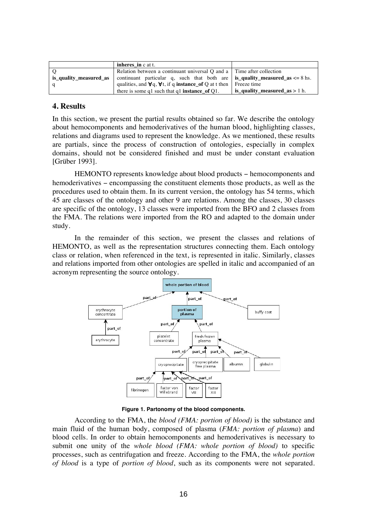|                        | inheres in c at t.                                                                         |                                             |
|------------------------|--------------------------------------------------------------------------------------------|---------------------------------------------|
|                        | Relation between a continuant universal $Q$ and a $\vert$ Time after collection            |                                             |
| is quality measured as | continuant particular q, such that both are <b>is_quality_measured_as</b> $\leq 8$ hs.     |                                             |
|                        | qualities, and $\forall q$ , $\forall t$ , if q <b>instance</b> of Q at t then Freeze time |                                             |
|                        | there is some q1 such that q1 <b>instance</b> of $Q1$ .                                    | $\frac{1}{2}$ is_quality_measured_as > 1 h. |

#### **4. Results**

In this section, we present the partial results obtained so far. We describe the ontology about hemocomponents and hemoderivatives of the human blood, highlighting classes, relations and diagrams used to represent the knowledge. As we mentioned, these results are partials, since the process of construction of ontologies, especially in complex domains, should not be considered finished and must be under constant evaluation [Grüber 1993].

HEMONTO represents knowledge about blood products – hemocomponents and hemoderivatives − encompassing the constituent elements those products, as well as the procedures used to obtain them. In its current version, the ontology has 54 terms, which 45 are classes of the ontology and other 9 are relations. Among the classes, 30 classes are specific of the ontology, 13 classes were imported from the BFO and 2 classes from the FMA. The relations were imported from the RO and adapted to the domain under study.

In the remainder of this section, we present the classes and relations of HEMONTO, as well as the representation structures connecting them. Each ontology class or relation, when referenced in the text, is represented in italic. Similarly, classes and relations imported from other ontologies are spelled in italic and accompanied of an acronym representing the source ontology.



**Figure 1. Partonomy of the blood components.**

According to the FMA, the *blood (FMA: portion of blood)* is the substance and main fluid of the human body, composed of plasma (*FMA: portion of plasma*) and blood cells. In order to obtain hemocomponents and hemoderivatives is necessary to submit one unity of the *whole blood (FMA: whole portion of blood)* to specific processes, such as centrifugation and freeze. According to the FMA, the *whole portion of blood* is a type of *portion of blood*, such as its components were not separated.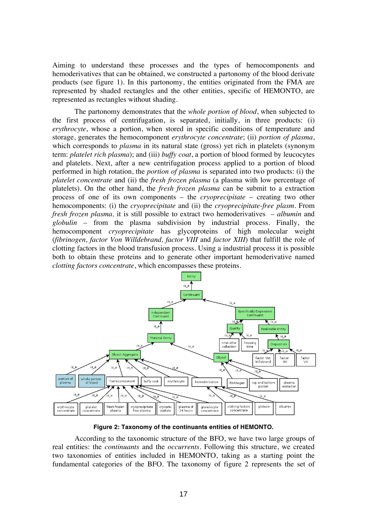Aiming to understand these processes and the types of hemocomponents and hemoderivatives that can be obtained, we constructed a partonomy of the blood derivate products (see figure 1). In this partonomy, the entities originated from the FMA are represented by shaded rectangles and the other entities, specific of HEMONTO, are represented as rectangles without shading.

The partonomy demonstrates that the *whole portion of blood*, when subjected to the first process of centrifugation, is separated, initially, in three products: (i) *erythrocyte*, whose a portion, when stored in specific conditions of temperature and storage, generates the hemocomponent *erythrocyte concentrate*; (ii) *portion of plasma*, which corresponds to *plasma* in its natural state (gross) yet rich in platelets (synonym term: *platelet rich plasma*); and (iii) *buffy coat*, a portion of blood formed by leucocytes and platelets. Next, after a new centrifugation process applied to a portion of blood performed in high rotation, the *portion of plasma* is separated into two products: (i) the *platelet concentrate* and (ii) the *fresh frozen plasma* (a plasma with low percentage of platelets). On the other hand, the *fresh frozen plasma* can be submit to a extraction process of one of its own components – the *cryoprecipitate* – creating two other hemocomponents: (i) the *cryoprecipitate* and (ii) the *cryoprecipitate-free plasm*. From *fresh frozen plasma,* it is still possible to extract two hemoderivatives – *albumin* and *globulin* – from the plasma subdivision by industrial process. Finally, the hemocomponent *cryoprecipitate* has glycoproteins of high molecular weight (*fibrinogen, factor Von Willdebrand, factor VIII* and *factor XIII*) that fulfill the role of clotting factors in the blood transfusion process. Using a industrial process it is possible both to obtain these proteins and to generate other important hemoderivative named *clotting factors concentrate*, which encompasses these proteins.



**Figure 2: Taxonomy of the continuants entities of HEMONTO.**

According to the taxonomic structure of the BFO, we have two large groups of real entities: the *continuants* and the *occurrents*. Following this structure, we created two taxonomies of entities included in HEMONTO, taking as a starting point the fundamental categories of the BFO. The taxonomy of figure 2 represents the set of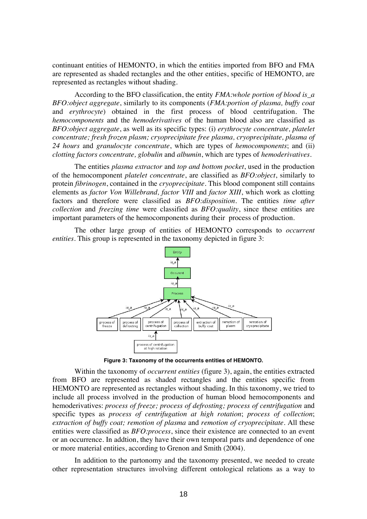continuant entities of HEMONTO, in which the entities imported from BFO and FMA are represented as shaded rectangles and the other entities, specific of HEMONTO, are represented as rectangles without shading.

According to the BFO classification, the entity *FMA:whole portion of blood is\_a BFO:object aggregate*, similarly to its components (*FMA:portion of plasma, buffy coat* and *erythrocyte*) obtained in the first process of blood centrifugation. The *hemocomponents* and the *hemoderivatives* of the human blood also are classified as *BFO:object aggregate*, as well as its specific types: (i) *erythrocyte concentrate, platelet concentrate; fresh frozen plasm; cryoprecipitate free plasma, cryoprecipitate, plasma of 24 hours* and *granulocyte concentrate*, which are types of *hemocomponents*; and (ii) *clotting factors concentrate, globulin* and *albumin*, which are types of *hemoderivatives*.

The entities *plasma extractor* and *top and bottom pocket*, used in the production of the hemocomponent *platelet concentrate*, are classified as *BFO:object*, similarly to protein *fibrinogen*, contained in the *cryoprecipitate*. This blood component still contains elements as *factor Von Willebrand, factor VIII* and *factor XIII*, which work as clotting factors and therefore were classified as *BFO:disposition*. The entities *time after collection* and *freezing time* were classified as *BFO:quality*, since these entities are important parameters of the hemocomponents during their process of production.

The other large group of entities of HEMONTO corresponds to *occurrent entities.* This group is represented in the taxonomy depicted in figure 3:



**Figure 3: Taxonomy of the occurrents entities of HEMONTO.**

Within the taxonomy of *occurrent entities* (figure 3), again, the entities extracted from BFO are represented as shaded rectangles and the entities specific from HEMONTO are represented as rectangles without shading. In this taxonomy, we tried to include all process involved in the production of human blood hemocomponents and hemoderivatives: *process of freeze; process of defrosting; process of centrifugation* and specific types as *process of centrifugation at high rotation*; *process of collection*; *extraction of buffy coat; remotion of plasma* and *remotion of cryoprecipitate*. All these entities were classified as *BFO:process*, since their existence are connected to an event or an occurrence. In addtion, they have their own temporal parts and dependence of one or more material entities, according to Grenon and Smith (2004).

In addition to the partonomy and the taxonomy presented, we needed to create other representation structures involving different ontological relations as a way to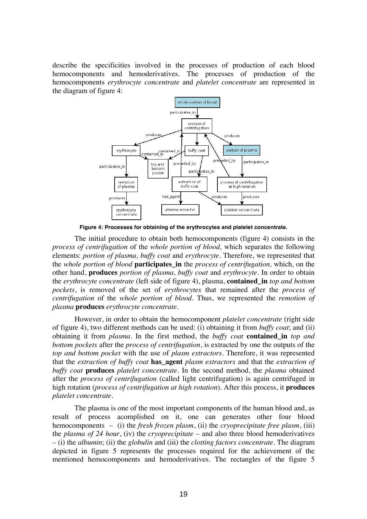describe the specificities involved in the processes of production of each blood hemocomponents and hemoderivatives. The processes of production of the hemocomponents *erythrocyte concentrate* and *platelet concentrate* are represented in the diagram of figure 4:



**Figure 4: Processes for obtaining of the erythrocytes and platelet concentrate.**

The initial procedure to obtain both hemocomponents (figure 4) consists in the *process of centrifugation* of the *whole portion of blood,* which separates the following elements: *portion of plasma, buffy coat* and *erythrocyte*. Therefore, we represented that the *whole portion of blood* **participates\_in** the *process of centrifugation,* which*,* on the other hand, **produces** *portion of plasma, buffy coat* and *erythrocyte*. In order to obtain the *erythrocyte concentrate* (left side of figure 4), plasma, **contained\_in** *top and bottom pockets*, is removed of the set of *erythrocytes* that remained after the *process of centrifugation* of the *whole portion of blood.* Thus, we represented the *remotion of plasma* **produces** *erythrocyte concentrate.*

However, in order to obtain the hemocomponent *platelet concentrate* (right side of figure 4), two different methods can be used: (i) obtaining it from *buffy coat*; and (ii) obtaining it from *plasma*. In the first method, the *buffy coat* **contained\_in** *top and bottom pockets* after the *process of centrifugation*, is extracted by one the outputs of the *top and bottom pocket* with the use of *plasm extractors*. Therefore, it was represented that the *extraction of buffy coat* **has\_agent** *plasm extractors* and that the *extraction of buffy coat* **produces** *platelet concentrate*. In the second method, the *plasma* obtained after the *process of centrifugation* (called light centrifugation) is again centrifuged in high rotation (*process of centrifugation at high rotation*). After this process, it **produces** *platelet concentrate*.

The plasma is one of the most important components of the human blood and, as result of process acomplished on it, one can generates other four blood hemocomponents – (i) the *fresh frozen plasm*, (ii) the *cryoprecipitate free plasm*, (iii) the *plasma of 24 hour*, (iv) the *cryoprecipitate* – and also three blood hemoderivatives – (i) the *albumin*; (ii) the *globulin* and (iii) the *clotting factors concentrate*. The diagram depicted in figure 5 represents the processes required for the achievement of the mentioned hemocomponents and hemoderivatives. The rectangles of the figure 5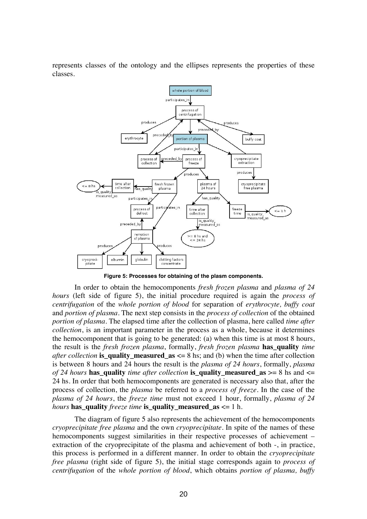represents classes of the ontology and the ellipses represents the properties of these classes.



**Figure 5: Processes for obtaining of the plasm components.**

In order to obtain the hemocomponents *fresh frozen plasma* and *plasma of 24 hours* (left side of figure 5), the initial procedure required is again the *process of centrifugation* of the *whole portion of blood* for separation of *erythrocyte, buffy coat* and *portion of plasma*. The next step consists in the *process of collection* of the obtained *portion of plasma*. The elapsed time after the collection of plasma, here called *time after collection*, is an important parameter in the process as a whole, because it determines the hemocomponent that is going to be generated: (a) when this time is at most 8 hours, the result is the *fresh frozen plasma*, formally, *fresh frozen plasma* **has\_quality** *time after collection* **is\_quality\_measured\_as** <= 8 hs; and (b) when the time after collection is between 8 hours and 24 hours the result is the *plasma of 24 hours*, formally, *plasma of 24 hours* **has\_quality** *time after collection* **is\_quality\_measured\_as** >= 8 hs and <= 24 hs. In order that both hemocomponents are generated is necessary also that, after the process of collection, the *plasma* be referred to a *process of freeze*. In the case of the *plasma of 24 hours*, the *freeze time* must not exceed 1 hour, formally, *plasma of 24 hours* has quality *freeze time* is quality measured as  $\leq 1$  h.

The diagram of figure 5 also represents the achievement of the hemocomponents *cryoprecipitate free plasma* and the own *cryoprecipitate*. In spite of the names of these hemocomponents suggest similarities in their respective processes of achievement – extraction of the cryoprecipitate of the plasma and achievement of both -, in practice, this process is performed in a different manner. In order to obtain the *cryoprecipitate free plasma* (right side of figure 5), the initial stage corresponds again to *process of centrifugation* of the *whole portion of blood*, which obtains *portion of plasma, buffy*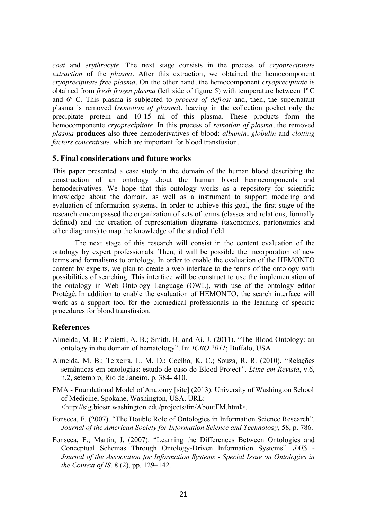*coat* and *erythrocyte*. The next stage consists in the process of *cryoprecipitate extraction* of the *plasma*. After this extraction, we obtained the hemocomponent *cryoprecipitate free plasma*. On the other hand, the hemocomponent *cryoprecipitate* is obtained from *fresh frozen plasma* (left side of figure 5) with temperature between 1<sup>°</sup>C and 6° C. This plasma is subjected to *process of defrost* and, then, the supernatant plasma is removed (*remotion of plasma*), leaving in the collection pocket only the precipitate protein and 10-15 ml of this plasma. These products form the hemocomponente *cryoprecipitate*. In this process of *remotion of plasma*, the removed *plasma* **produces** also three hemoderivatives of blood: *albumin*, *globulin* and *clotting factors concentrate*, which are important for blood transfusion.

## **5. Final considerations and future works**

This paper presented a case study in the domain of the human blood describing the construction of an ontology about the human blood hemocomponents and hemoderivatives. We hope that this ontology works as a repository for scientific knowledge about the domain, as well as a instrument to support modeling and evaluation of information systems. In order to achieve this goal, the first stage of the research emcompassed the organization of sets of terms (classes and relations, formally defined) and the creation of representation diagrams (taxonomies, partonomies and other diagrams) to map the knowledge of the studied field.

The next stage of this research will consist in the content evaluation of the ontology by expert professionals. Then, it will be possible the incorporation of new terms and formalisms to ontology. In order to enable the evaluation of the HEMONTO content by experts, we plan to create a web interface to the terms of the ontology with possibilities of searching. This interface will be construct to use the implementation of the ontology in Web Ontology Language (OWL), with use of the ontology editor Protégé. In addition to enable the evaluation of HEMONTO, the search interface will work as a support tool for the biomedical professionals in the learning of specific procedures for blood transfusion.

# **References**

- Almeida, M. B.; Proietti, A. B.; Smith, B. and Ai, J. (2011). "The Blood Ontology: an ontology in the domain of hematology". In: *ICBO 2011*; Buffalo*,* USA.
- Almeida, M. B.; Teixeira, L. M. D.; Coelho, K. C.; Souza, R. R. (2010). "Relações semânticas em ontologias: estudo de caso do Blood Project*"*. *Liinc em Revista*, v.6, n.2, setembro, Rio de Janeiro, p. 384- 410.
- FMA Foundational Model of Anatomy [site] (2013). University of Washington School of Medicine, Spokane, Washington, USA. URL: <http://sig.biostr.washington.edu/projects/fm/AboutFM.html>.
- Fonseca, F. (2007). "The Double Role of Ontologies in Information Science Research". *Journal of the American Society for Information Science and Technology*, 58, p. 786.
- Fonseca, F.; Martin, J. (2007). "Learning the Differences Between Ontologies and Conceptual Schemas Through Ontology-Driven Information Systems". *JAIS - Journal of the Association for Information Systems - Special Issue on Ontologies in the Context of IS,* 8 (2), pp. 129–142.